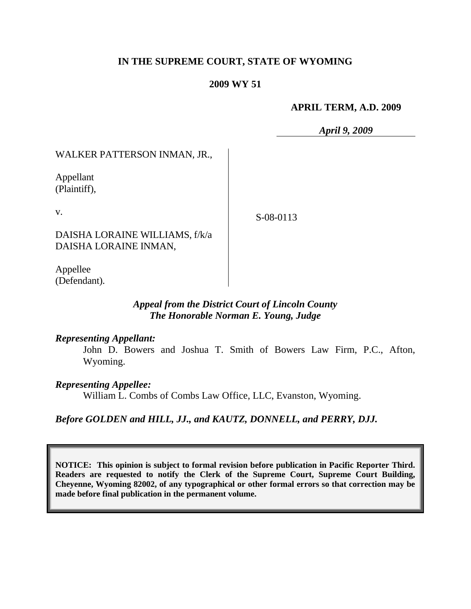# **IN THE SUPREME COURT, STATE OF WYOMING**

## **2009 WY 51**

## **APRIL TERM, A.D. 2009**

*April 9, 2009*

WALKER PATTERSON INMAN, JR.,

Appellant (Plaintiff),

v.

S-08-0113

DAISHA LORAINE WILLIAMS, f/k/a DAISHA LORAINE INMAN,

Appellee (Defendant).

# *Appeal from the District Court of Lincoln County The Honorable Norman E. Young, Judge*

## *Representing Appellant:*

John D. Bowers and Joshua T. Smith of Bowers Law Firm, P.C., Afton, Wyoming.

## *Representing Appellee:*

William L. Combs of Combs Law Office, LLC, Evanston, Wyoming.

*Before GOLDEN and HILL, JJ., and KAUTZ, DONNELL, and PERRY, DJJ.*

**NOTICE: This opinion is subject to formal revision before publication in Pacific Reporter Third. Readers are requested to notify the Clerk of the Supreme Court, Supreme Court Building, Cheyenne, Wyoming 82002, of any typographical or other formal errors so that correction may be made before final publication in the permanent volume.**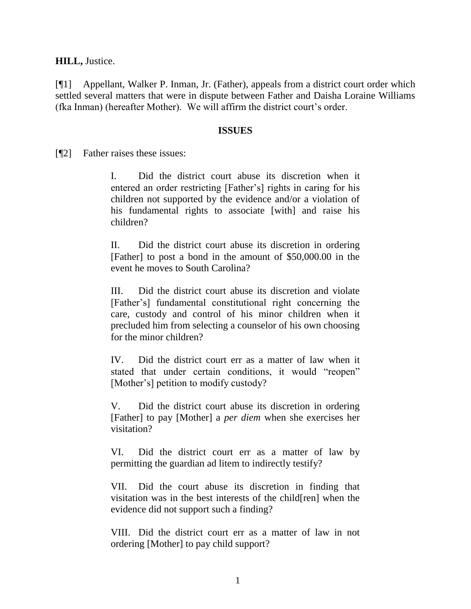**HILL,** Justice.

[¶1] Appellant, Walker P. Inman, Jr. (Father), appeals from a district court order which settled several matters that were in dispute between Father and Daisha Loraine Williams (fka Inman) (hereafter Mother). We will affirm the district court's order.

#### **ISSUES**

[¶2] Father raises these issues:

I. Did the district court abuse its discretion when it entered an order restricting [Father"s] rights in caring for his children not supported by the evidence and/or a violation of his fundamental rights to associate [with] and raise his children?

II. Did the district court abuse its discretion in ordering [Father] to post a bond in the amount of \$50,000.00 in the event he moves to South Carolina?

III. Did the district court abuse its discretion and violate [Father"s] fundamental constitutional right concerning the care, custody and control of his minor children when it precluded him from selecting a counselor of his own choosing for the minor children?

IV. Did the district court err as a matter of law when it stated that under certain conditions, it would "reopen" [Mother's] petition to modify custody?

V. Did the district court abuse its discretion in ordering [Father] to pay [Mother] a *per diem* when she exercises her visitation?

VI. Did the district court err as a matter of law by permitting the guardian ad litem to indirectly testify?

VII. Did the court abuse its discretion in finding that visitation was in the best interests of the child[ren] when the evidence did not support such a finding?

VIII. Did the district court err as a matter of law in not ordering [Mother] to pay child support?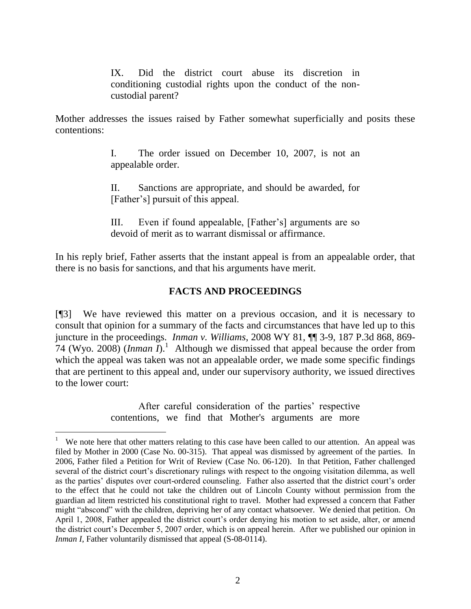IX. Did the district court abuse its discretion in conditioning custodial rights upon the conduct of the noncustodial parent?

Mother addresses the issues raised by Father somewhat superficially and posits these contentions:

> I. The order issued on December 10, 2007, is not an appealable order.

> II. Sanctions are appropriate, and should be awarded, for [Father"s] pursuit of this appeal.

> III. Even if found appealable, [Father"s] arguments are so devoid of merit as to warrant dismissal or affirmance.

In his reply brief, Father asserts that the instant appeal is from an appealable order, that there is no basis for sanctions, and that his arguments have merit.

# **FACTS AND PROCEEDINGS**

[¶3] We have reviewed this matter on a previous occasion, and it is necessary to consult that opinion for a summary of the facts and circumstances that have led up to this juncture in the proceedings. *Inman v. Williams*, 2008 WY 81, ¶¶ 3-9, 187 P.3d 868, 869- 74 (Wyo. 2008) (*Inman I*).<sup>1</sup> Although we dismissed that appeal because the order from which the appeal was taken was not an appealable order, we made some specific findings that are pertinent to this appeal and, under our supervisory authority, we issued directives to the lower court:

> After careful consideration of the parties' respective contentions, we find that Mother's arguments are more

<sup>1</sup> We note here that other matters relating to this case have been called to our attention. An appeal was filed by Mother in 2000 (Case No. 00-315). That appeal was dismissed by agreement of the parties. In 2006, Father filed a Petition for Writ of Review (Case No. 06-120). In that Petition, Father challenged several of the district court's discretionary rulings with respect to the ongoing visitation dilemma, as well as the parties' disputes over court-ordered counseling. Father also asserted that the district court's order to the effect that he could not take the children out of Lincoln County without permission from the guardian ad litem restricted his constitutional right to travel. Mother had expressed a concern that Father might "abscond" with the children, depriving her of any contact whatsoever. We denied that petition. On April 1, 2008, Father appealed the district court's order denying his motion to set aside, alter, or amend the district court"s December 5, 2007 order, which is on appeal herein. After we published our opinion in *Inman I*, Father voluntarily dismissed that appeal (S-08-0114).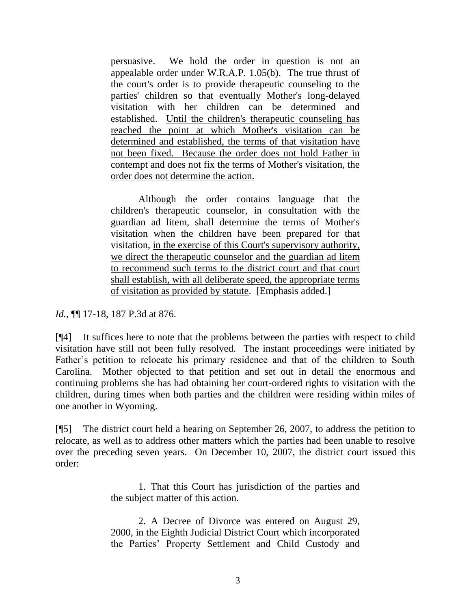persuasive. We hold the order in question is not an appealable order under W.R.A.P. 1.05(b). The true thrust of the court's order is to provide therapeutic counseling to the parties' children so that eventually Mother's long-delayed visitation with her children can be determined and established. Until the children's therapeutic counseling has reached the point at which Mother's visitation can be determined and established, the terms of that visitation have not been fixed. Because the order does not hold Father in contempt and does not fix the terms of Mother's visitation, the order does not determine the action.

Although the order contains language that the children's therapeutic counselor, in consultation with the guardian ad litem, shall determine the terms of Mother's visitation when the children have been prepared for that visitation, in the exercise of this Court's supervisory authority, we direct the therapeutic counselor and the guardian ad litem to recommend such terms to the district court and that court shall establish, with all deliberate speed, the appropriate terms of visitation as provided by statute. [Emphasis added.]

*Id.*, ¶¶ 17-18, 187 P.3d at 876.

[¶4] It suffices here to note that the problems between the parties with respect to child visitation have still not been fully resolved. The instant proceedings were initiated by Father's petition to relocate his primary residence and that of the children to South Carolina. Mother objected to that petition and set out in detail the enormous and continuing problems she has had obtaining her court-ordered rights to visitation with the children, during times when both parties and the children were residing within miles of one another in Wyoming.

[¶5] The district court held a hearing on September 26, 2007, to address the petition to relocate, as well as to address other matters which the parties had been unable to resolve over the preceding seven years. On December 10, 2007, the district court issued this order:

> 1. That this Court has jurisdiction of the parties and the subject matter of this action.

> 2. A Decree of Divorce was entered on August 29, 2000, in the Eighth Judicial District Court which incorporated the Parties" Property Settlement and Child Custody and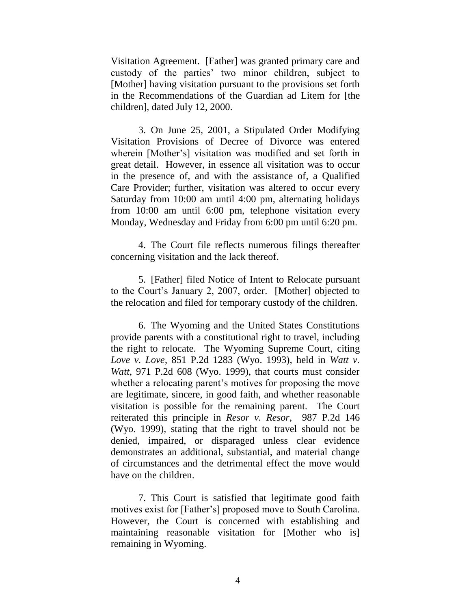Visitation Agreement. [Father] was granted primary care and custody of the parties" two minor children, subject to [Mother] having visitation pursuant to the provisions set forth in the Recommendations of the Guardian ad Litem for [the children], dated July 12, 2000.

3. On June 25, 2001, a Stipulated Order Modifying Visitation Provisions of Decree of Divorce was entered wherein [Mother"s] visitation was modified and set forth in great detail. However, in essence all visitation was to occur in the presence of, and with the assistance of, a Qualified Care Provider; further, visitation was altered to occur every Saturday from 10:00 am until 4:00 pm, alternating holidays from 10:00 am until 6:00 pm, telephone visitation every Monday, Wednesday and Friday from 6:00 pm until 6:20 pm.

4. The Court file reflects numerous filings thereafter concerning visitation and the lack thereof.

5. [Father] filed Notice of Intent to Relocate pursuant to the Court's January 2, 2007, order. [Mother] objected to the relocation and filed for temporary custody of the children.

6. The Wyoming and the United States Constitutions provide parents with a constitutional right to travel, including the right to relocate. The Wyoming Supreme Court, citing *Love v. Love*, 851 P.2d 1283 (Wyo. 1993), held in *Watt v. Watt*, 971 P.2d 608 (Wyo. 1999), that courts must consider whether a relocating parent's motives for proposing the move are legitimate, sincere, in good faith, and whether reasonable visitation is possible for the remaining parent. The Court reiterated this principle in *Resor v. Resor*, 987 P.2d 146 (Wyo. 1999), stating that the right to travel should not be denied, impaired, or disparaged unless clear evidence demonstrates an additional, substantial, and material change of circumstances and the detrimental effect the move would have on the children.

7. This Court is satisfied that legitimate good faith motives exist for [Father"s] proposed move to South Carolina. However, the Court is concerned with establishing and maintaining reasonable visitation for [Mother who is] remaining in Wyoming.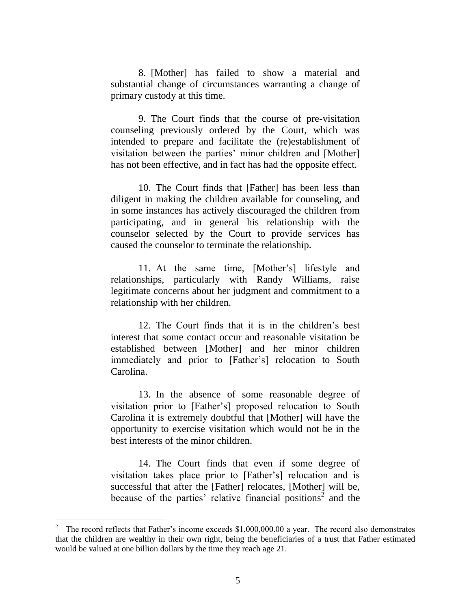8. [Mother] has failed to show a material and substantial change of circumstances warranting a change of primary custody at this time.

9. The Court finds that the course of pre-visitation counseling previously ordered by the Court, which was intended to prepare and facilitate the (re)establishment of visitation between the parties' minor children and [Mother] has not been effective, and in fact has had the opposite effect.

10. The Court finds that [Father] has been less than diligent in making the children available for counseling, and in some instances has actively discouraged the children from participating, and in general his relationship with the counselor selected by the Court to provide services has caused the counselor to terminate the relationship.

11. At the same time, [Mother"s] lifestyle and relationships, particularly with Randy Williams, raise legitimate concerns about her judgment and commitment to a relationship with her children.

12. The Court finds that it is in the children"s best interest that some contact occur and reasonable visitation be established between [Mother] and her minor children immediately and prior to [Father"s] relocation to South Carolina.

13. In the absence of some reasonable degree of visitation prior to [Father"s] proposed relocation to South Carolina it is extremely doubtful that [Mother] will have the opportunity to exercise visitation which would not be in the best interests of the minor children.

14. The Court finds that even if some degree of visitation takes place prior to [Father"s] relocation and is successful that after the [Father] relocates, [Mother] will be, because of the parties' relative financial positions<sup>2</sup> and the

<sup>2</sup> The record reflects that Father's income exceeds \$1,000,000.00 a year. The record also demonstrates that the children are wealthy in their own right, being the beneficiaries of a trust that Father estimated would be valued at one billion dollars by the time they reach age 21.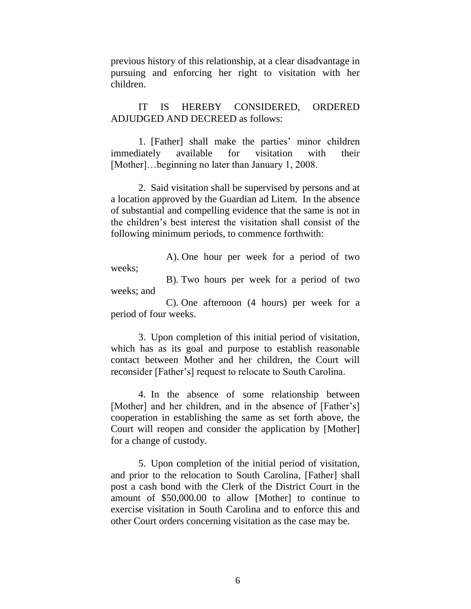previous history of this relationship, at a clear disadvantage in pursuing and enforcing her right to visitation with her children.

IT IS HEREBY CONSIDERED, ORDERED ADJUDGED AND DECREED as follows:

1. [Father] shall make the parties' minor children immediately available for visitation with their [Mother]...beginning no later than January 1, 2008.

2. Said visitation shall be supervised by persons and at a location approved by the Guardian ad Litem. In the absence of substantial and compelling evidence that the same is not in the children"s best interest the visitation shall consist of the following minimum periods, to commence forthwith:

A). One hour per week for a period of two weeks;

B). Two hours per week for a period of two weeks; and

C). One afternoon (4 hours) per week for a period of four weeks.

3. Upon completion of this initial period of visitation, which has as its goal and purpose to establish reasonable contact between Mother and her children, the Court will reconsider [Father"s] request to relocate to South Carolina.

4. In the absence of some relationship between [Mother] and her children, and in the absence of [Father's] cooperation in establishing the same as set forth above, the Court will reopen and consider the application by [Mother] for a change of custody.

5. Upon completion of the initial period of visitation, and prior to the relocation to South Carolina, [Father] shall post a cash bond with the Clerk of the District Court in the amount of \$50,000.00 to allow [Mother] to continue to exercise visitation in South Carolina and to enforce this and other Court orders concerning visitation as the case may be.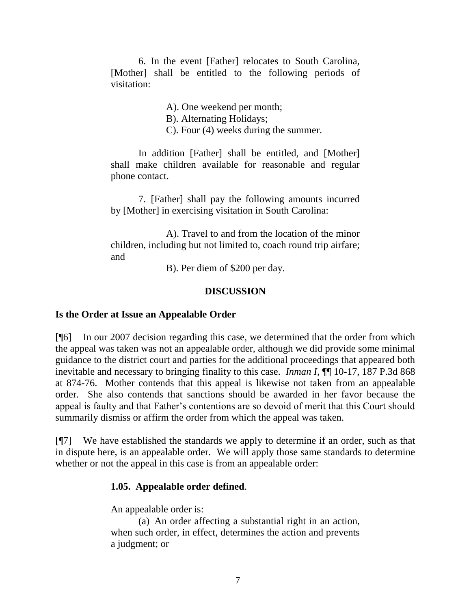6. In the event [Father] relocates to South Carolina, [Mother] shall be entitled to the following periods of visitation:

A). One weekend per month;

B). Alternating Holidays;

C). Four (4) weeks during the summer.

In addition [Father] shall be entitled, and [Mother] shall make children available for reasonable and regular phone contact.

7. [Father] shall pay the following amounts incurred by [Mother] in exercising visitation in South Carolina:

A). Travel to and from the location of the minor children, including but not limited to, coach round trip airfare; and

B). Per diem of \$200 per day.

# **DISCUSSION**

## **Is the Order at Issue an Appealable Order**

[¶6] In our 2007 decision regarding this case, we determined that the order from which the appeal was taken was not an appealable order, although we did provide some minimal guidance to the district court and parties for the additional proceedings that appeared both inevitable and necessary to bringing finality to this case. *Inman I,* ¶¶ 10-17, 187 P.3d 868 at 874-76. Mother contends that this appeal is likewise not taken from an appealable order. She also contends that sanctions should be awarded in her favor because the appeal is faulty and that Father"s contentions are so devoid of merit that this Court should summarily dismiss or affirm the order from which the appeal was taken.

[¶7] We have established the standards we apply to determine if an order, such as that in dispute here, is an appealable order. We will apply those same standards to determine whether or not the appeal in this case is from an appealable order:

# **1.05. Appealable order defined**.

An appealable order is:

(a) An order affecting a substantial right in an action, when such order, in effect, determines the action and prevents a judgment; or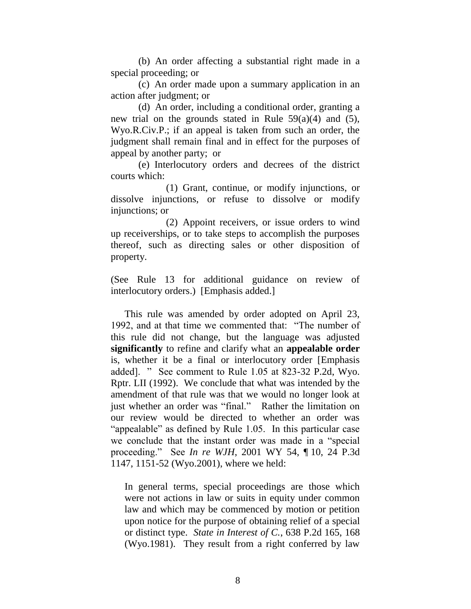(b) An order affecting a substantial right made in a special proceeding; or

(c) An order made upon a summary application in an action after judgment; or

(d) An order, including a conditional order, granting a new trial on the grounds stated in Rule  $59(a)(4)$  and  $(5)$ , Wyo.R.Civ.P.; if an appeal is taken from such an order, the judgment shall remain final and in effect for the purposes of appeal by another party; or

(e) Interlocutory orders and decrees of the district courts which:

(1) Grant, continue, or modify injunctions, or dissolve injunctions, or refuse to dissolve or modify injunctions; or

(2) Appoint receivers, or issue orders to wind up receiverships, or to take steps to accomplish the purposes thereof, such as directing sales or other disposition of property.

(See Rule 13 for additional guidance on review of interlocutory orders.) [Emphasis added.]

This rule was amended by order adopted on April 23, 1992, and at that time we commented that: "The number of this rule did not change, but the language was adjusted **significantly** to refine and clarify what an **appealable order** is, whether it be a final or interlocutory order [Emphasis added]. " See comment to Rule 1.05 at 823-32 P.2d, Wyo. Rptr. LII (1992). We conclude that what was intended by the amendment of that rule was that we would no longer look at just whether an order was "final." Rather the limitation on our review would be directed to whether an order was "appealable" as defined by Rule 1.05. In this particular case we conclude that the instant order was made in a "special proceeding." See *In re WJH*, 2001 WY 54, ¶ 10, 24 P.3d 1147, 1151-52 (Wyo.2001), where we held:

In general terms, special proceedings are those which were not actions in law or suits in equity under common law and which may be commenced by motion or petition upon notice for the purpose of obtaining relief of a special or distinct type. *State in Interest of C.*, 638 P.2d 165, 168 (Wyo.1981). They result from a right conferred by law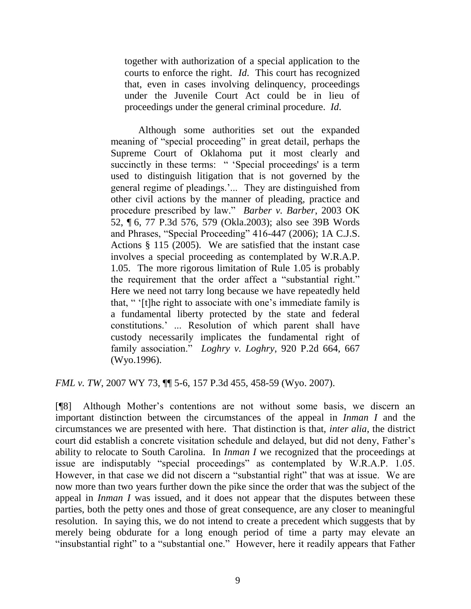together with authorization of a special application to the courts to enforce the right. *Id*. This court has recognized that, even in cases involving delinquency, proceedings under the Juvenile Court Act could be in lieu of proceedings under the general criminal procedure. *Id*.

Although some authorities set out the expanded meaning of "special proceeding" in great detail, perhaps the Supreme Court of Oklahoma put it most clearly and succinctly in these terms: " 'Special proceedings' is a term used to distinguish litigation that is not governed by the general regime of pleadings."... They are distinguished from other civil actions by the manner of pleading, practice and procedure prescribed by law." *Barber v. Barber*, 2003 OK 52, ¶ 6, 77 P.3d 576, 579 (Okla.2003); also see 39B Words and Phrases, "Special Proceeding" 416-447 (2006); 1A C.J.S. Actions § 115 (2005). We are satisfied that the instant case involves a special proceeding as contemplated by W.R.A.P. 1.05. The more rigorous limitation of Rule 1.05 is probably the requirement that the order affect a "substantial right." Here we need not tarry long because we have repeatedly held that, " "[t]he right to associate with one"s immediate family is a fundamental liberty protected by the state and federal constitutions." ... Resolution of which parent shall have custody necessarily implicates the fundamental right of family association." *Loghry v. Loghry*, 920 P.2d 664, 667 (Wyo.1996).

*FML v. TW*, 2007 WY 73, ¶¶ 5-6, 157 P.3d 455, 458-59 (Wyo. 2007).

[¶8] Although Mother"s contentions are not without some basis, we discern an important distinction between the circumstances of the appeal in *Inman I* and the circumstances we are presented with here. That distinction is that, *inter alia*, the district court did establish a concrete visitation schedule and delayed, but did not deny, Father"s ability to relocate to South Carolina. In *Inman I* we recognized that the proceedings at issue are indisputably "special proceedings" as contemplated by W.R.A.P. 1.05. However, in that case we did not discern a "substantial right" that was at issue. We are now more than two years further down the pike since the order that was the subject of the appeal in *Inman I* was issued, and it does not appear that the disputes between these parties, both the petty ones and those of great consequence, are any closer to meaningful resolution. In saying this, we do not intend to create a precedent which suggests that by merely being obdurate for a long enough period of time a party may elevate an "insubstantial right" to a "substantial one." However, here it readily appears that Father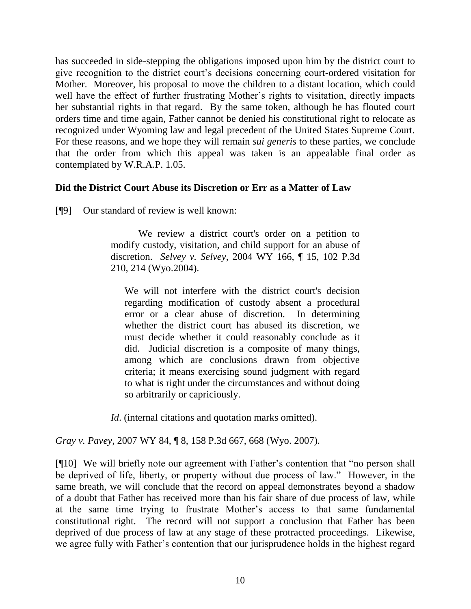has succeeded in side-stepping the obligations imposed upon him by the district court to give recognition to the district court's decisions concerning court-ordered visitation for Mother. Moreover, his proposal to move the children to a distant location, which could well have the effect of further frustrating Mother's rights to visitation, directly impacts her substantial rights in that regard. By the same token, although he has flouted court orders time and time again, Father cannot be denied his constitutional right to relocate as recognized under Wyoming law and legal precedent of the United States Supreme Court. For these reasons, and we hope they will remain *sui generis* to these parties, we conclude that the order from which this appeal was taken is an appealable final order as contemplated by W.R.A.P. 1.05.

## **Did the District Court Abuse its Discretion or Err as a Matter of Law**

[¶9] Our standard of review is well known:

We review a district court's order on a petition to modify custody, visitation, and child support for an abuse of discretion. *Selvey v. Selvey*, 2004 WY 166, ¶ 15, 102 P.3d 210, 214 (Wyo.2004).

We will not interfere with the district court's decision regarding modification of custody absent a procedural error or a clear abuse of discretion. In determining whether the district court has abused its discretion, we must decide whether it could reasonably conclude as it did. Judicial discretion is a composite of many things, among which are conclusions drawn from objective criteria; it means exercising sound judgment with regard to what is right under the circumstances and without doing so arbitrarily or capriciously.

*Id.* (internal citations and quotation marks omitted).

*Gray v. Pavey*, 2007 WY 84, ¶ 8, 158 P.3d 667, 668 (Wyo. 2007).

[¶10] We will briefly note our agreement with Father"s contention that "no person shall be deprived of life, liberty, or property without due process of law." However, in the same breath, we will conclude that the record on appeal demonstrates beyond a shadow of a doubt that Father has received more than his fair share of due process of law, while at the same time trying to frustrate Mother"s access to that same fundamental constitutional right. The record will not support a conclusion that Father has been deprived of due process of law at any stage of these protracted proceedings. Likewise, we agree fully with Father"s contention that our jurisprudence holds in the highest regard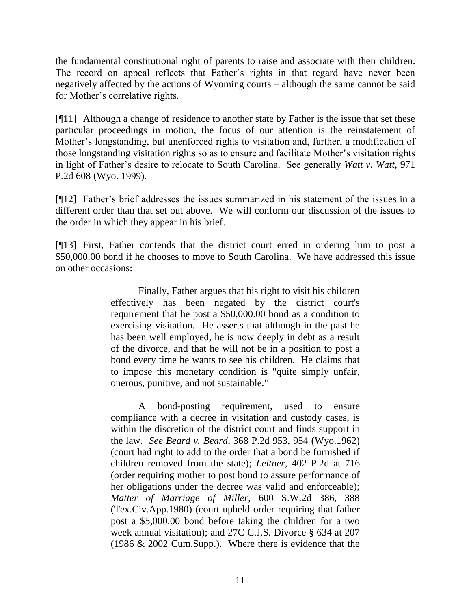the fundamental constitutional right of parents to raise and associate with their children. The record on appeal reflects that Father"s rights in that regard have never been negatively affected by the actions of Wyoming courts – although the same cannot be said for Mother's correlative rights.

[¶11] Although a change of residence to another state by Father is the issue that set these particular proceedings in motion, the focus of our attention is the reinstatement of Mother"s longstanding, but unenforced rights to visitation and, further, a modification of those longstanding visitation rights so as to ensure and facilitate Mother"s visitation rights in light of Father"s desire to relocate to South Carolina. See generally *Watt v. Watt*, 971 P.2d 608 (Wyo. 1999).

[¶12] Father"s brief addresses the issues summarized in his statement of the issues in a different order than that set out above. We will conform our discussion of the issues to the order in which they appear in his brief.

[¶13] First, Father contends that the district court erred in ordering him to post a \$50,000.00 bond if he chooses to move to South Carolina. We have addressed this issue on other occasions:

> Finally, Father argues that his right to visit his children effectively has been negated by the district court's requirement that he post a \$50,000.00 bond as a condition to exercising visitation. He asserts that although in the past he has been well employed, he is now deeply in debt as a result of the divorce, and that he will not be in a position to post a bond every time he wants to see his children. He claims that to impose this monetary condition is "quite simply unfair, onerous, punitive, and not sustainable."

> A bond-posting requirement, used to ensure compliance with a decree in visitation and custody cases, is within the discretion of the district court and finds support in the law. *See Beard v. Beard*, 368 P.2d 953, 954 (Wyo.1962) (court had right to add to the order that a bond be furnished if children removed from the state); *Leitner*, 402 P.2d at 716 (order requiring mother to post bond to assure performance of her obligations under the decree was valid and enforceable); *Matter of Marriage of Miller*, 600 S.W.2d 386, 388 (Tex.Civ.App.1980) (court upheld order requiring that father post a \$5,000.00 bond before taking the children for a two week annual visitation); and 27C C.J.S. Divorce § 634 at 207 (1986 & 2002 Cum.Supp.). Where there is evidence that the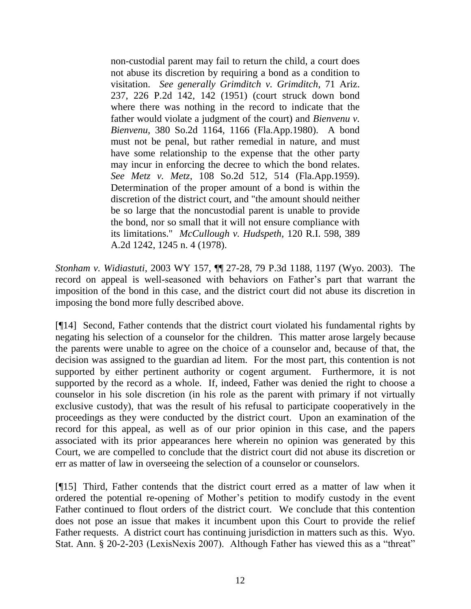non-custodial parent may fail to return the child, a court does not abuse its discretion by requiring a bond as a condition to visitation. *See generally Grimditch v. Grimditch*, 71 Ariz. 237, 226 P.2d 142, 142 (1951) (court struck down bond where there was nothing in the record to indicate that the father would violate a judgment of the court) and *Bienvenu v. Bienvenu*, 380 So.2d 1164, 1166 (Fla.App.1980). A bond must not be penal, but rather remedial in nature, and must have some relationship to the expense that the other party may incur in enforcing the decree to which the bond relates. *See Metz v. Metz*, 108 So.2d 512, 514 (Fla.App.1959). Determination of the proper amount of a bond is within the discretion of the district court, and "the amount should neither be so large that the noncustodial parent is unable to provide the bond, nor so small that it will not ensure compliance with its limitations." *McCullough v. Hudspeth*, 120 R.I. 598, 389 A.2d 1242, 1245 n. 4 (1978).

*Stonham v. Widiastuti*, 2003 WY 157, ¶¶ 27-28, 79 P.3d 1188, 1197 (Wyo. 2003). The record on appeal is well-seasoned with behaviors on Father's part that warrant the imposition of the bond in this case, and the district court did not abuse its discretion in imposing the bond more fully described above.

[¶14] Second, Father contends that the district court violated his fundamental rights by negating his selection of a counselor for the children. This matter arose largely because the parents were unable to agree on the choice of a counselor and, because of that, the decision was assigned to the guardian ad litem. For the most part, this contention is not supported by either pertinent authority or cogent argument. Furthermore, it is not supported by the record as a whole. If, indeed, Father was denied the right to choose a counselor in his sole discretion (in his role as the parent with primary if not virtually exclusive custody), that was the result of his refusal to participate cooperatively in the proceedings as they were conducted by the district court. Upon an examination of the record for this appeal, as well as of our prior opinion in this case, and the papers associated with its prior appearances here wherein no opinion was generated by this Court, we are compelled to conclude that the district court did not abuse its discretion or err as matter of law in overseeing the selection of a counselor or counselors.

[¶15] Third, Father contends that the district court erred as a matter of law when it ordered the potential re-opening of Mother"s petition to modify custody in the event Father continued to flout orders of the district court. We conclude that this contention does not pose an issue that makes it incumbent upon this Court to provide the relief Father requests. A district court has continuing jurisdiction in matters such as this. Wyo. Stat. Ann. § 20-2-203 (LexisNexis 2007). Although Father has viewed this as a "threat"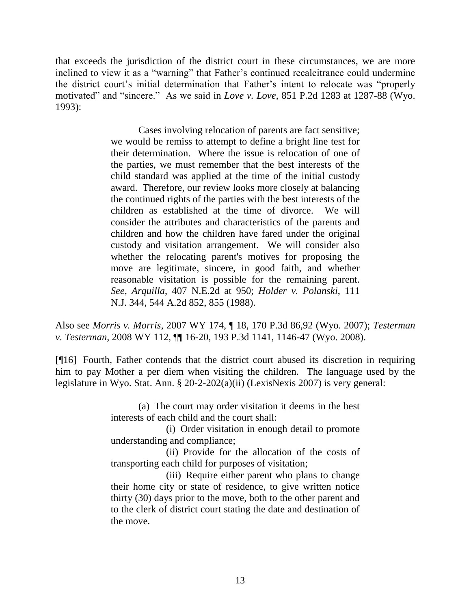that exceeds the jurisdiction of the district court in these circumstances, we are more inclined to view it as a "warning" that Father"s continued recalcitrance could undermine the district court"s initial determination that Father"s intent to relocate was "properly motivated" and "sincere." As we said in *Love v. Love*, 851 P.2d 1283 at 1287-88 (Wyo. 1993):

> Cases involving relocation of parents are fact sensitive; we would be remiss to attempt to define a bright line test for their determination. Where the issue is relocation of one of the parties, we must remember that the best interests of the child standard was applied at the time of the initial custody award. Therefore, our review looks more closely at balancing the continued rights of the parties with the best interests of the children as established at the time of divorce. We will consider the attributes and characteristics of the parents and children and how the children have fared under the original custody and visitation arrangement. We will consider also whether the relocating parent's motives for proposing the move are legitimate, sincere, in good faith, and whether reasonable visitation is possible for the remaining parent. *See*, *Arquilla*, 407 N.E.2d at 950; *Holder v. Polanski*, 111 N.J. 344, 544 A.2d 852, 855 (1988).

Also see *Morris v. Morris*, 2007 WY 174, ¶ 18, 170 P.3d 86,92 (Wyo. 2007); *Testerman v. Testerman*, 2008 WY 112, ¶¶ 16-20, 193 P.3d 1141, 1146-47 (Wyo. 2008).

[¶16] Fourth, Father contends that the district court abused its discretion in requiring him to pay Mother a per diem when visiting the children. The language used by the legislature in Wyo. Stat. Ann. § 20-2-202(a)(ii) (LexisNexis 2007) is very general:

> (a) The court may order visitation it deems in the best interests of each child and the court shall:

> (i) Order visitation in enough detail to promote understanding and compliance;

> (ii) Provide for the allocation of the costs of transporting each child for purposes of visitation;

> (iii) Require either parent who plans to change their home city or state of residence, to give written notice thirty (30) days prior to the move, both to the other parent and to the clerk of district court stating the date and destination of the move.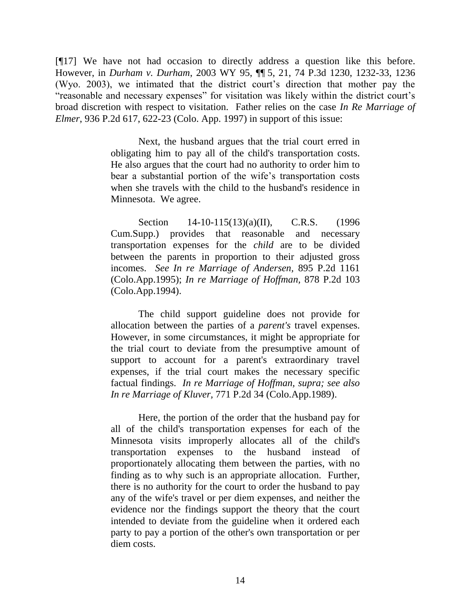[¶17] We have not had occasion to directly address a question like this before. However, in *Durham v. Durham*, 2003 WY 95, ¶¶ 5, 21, 74 P.3d 1230, 1232-33, 1236 (Wyo. 2003), we intimated that the district court"s direction that mother pay the "reasonable and necessary expenses" for visitation was likely within the district court"s broad discretion with respect to visitation. Father relies on the case *In Re Marriage of Elmer*, 936 P.2d 617, 622-23 (Colo. App. 1997) in support of this issue:

> Next, the husband argues that the trial court erred in obligating him to pay all of the child's transportation costs. He also argues that the court had no authority to order him to bear a substantial portion of the wife"s transportation costs when she travels with the child to the husband's residence in Minnesota. We agree.

> [Section 14-10-115\(13\)\(a\)\(II\), C.R.S.](http://www.westlaw.com/Find/Default.wl?rs=dfa1.0&vr=2.0&DB=1000517&DocName=COSTS14-10-115&FindType=L) (1996) Cum.Supp.) provides that reasonable and necessary transportation expenses for the *child* are to be divided between the parents in proportion to their adjusted gross incomes. *See [In re Marriage of Andersen,](http://www.westlaw.com/Find/Default.wl?rs=dfa1.0&vr=2.0&DB=661&FindType=Y&SerialNum=1995093464)* [895 P.2d 1161](http://www.westlaw.com/Find/Default.wl?rs=dfa1.0&vr=2.0&DB=661&FindType=Y&SerialNum=1995093464)  (Colo.App.1995); *[In re Marriage of Hoffman,](http://www.westlaw.com/Find/Default.wl?rs=dfa1.0&vr=2.0&DB=661&FindType=Y&SerialNum=1994122420)* [878 P.2d 103](http://www.westlaw.com/Find/Default.wl?rs=dfa1.0&vr=2.0&DB=661&FindType=Y&SerialNum=1994122420)  (Colo.App.1994).

> The child support guideline does not provide for allocation between the parties of a *parent's* travel expenses. However, in some circumstances, it might be appropriate for the trial court to deviate from the presumptive amount of support to account for a parent's extraordinary travel expenses, if the trial court makes the necessary specific factual findings. *In re Marriage of Hoffman, supra; see also [In re Marriage of Kluver,](http://www.westlaw.com/Find/Default.wl?rs=dfa1.0&vr=2.0&DB=661&FindType=Y&SerialNum=1989023989)* [771 P.2d 34 \(Colo.App.1989\).](http://www.westlaw.com/Find/Default.wl?rs=dfa1.0&vr=2.0&DB=661&FindType=Y&SerialNum=1989023989)

> Here, the portion of the order that the husband pay for all of the child's transportation expenses for each of the Minnesota visits improperly allocates all of the child's transportation expenses to the husband instead of proportionately allocating them between the parties, with no finding as to why such is an appropriate allocation. Further, there is no authority for the court to order the husband to pay any of the wife's travel or per diem expenses, and neither the evidence nor the findings support the theory that the court intended to deviate from the guideline when it ordered each party to pay a portion of the other's own transportation or per diem costs.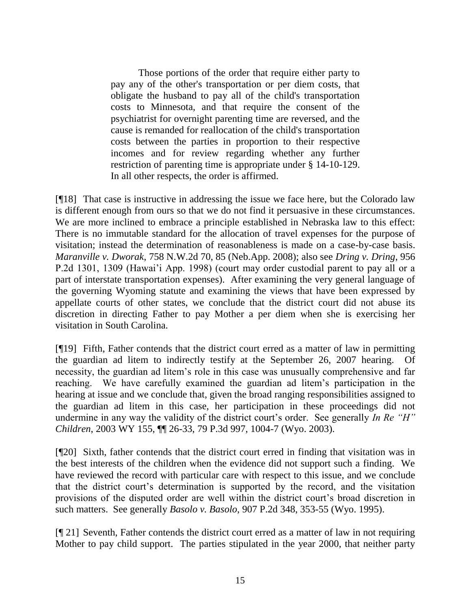Those portions of the order that require either party to pay any of the other's transportation or per diem costs, that obligate the husband to pay all of the child's transportation costs to Minnesota, and that require the consent of the psychiatrist for overnight parenting time are reversed, and the cause is remanded for reallocation of the child's transportation costs between the parties in proportion to their respective incomes and for review regarding whether any further restriction of parenting time is appropriate under [§ 14-10-129.](http://www.westlaw.com/Find/Default.wl?rs=dfa1.0&vr=2.0&DB=1000517&DocName=COSTS14-10-129&FindType=L) In all other respects, the order is affirmed.

[¶18] That case is instructive in addressing the issue we face here, but the Colorado law is different enough from ours so that we do not find it persuasive in these circumstances. We are more inclined to embrace a principle established in Nebraska law to this effect: There is no immutable standard for the allocation of travel expenses for the purpose of visitation; instead the determination of reasonableness is made on a case-by-case basis. *Maranville v. Dworak*, 758 N.W.2d 70, 85 (Neb.App. 2008); also see *Dring v. Dring*, 956 P.2d 1301, 1309 (Hawai"i App. 1998) (court may order custodial parent to pay all or a part of interstate transportation expenses). After examining the very general language of the governing Wyoming statute and examining the views that have been expressed by appellate courts of other states, we conclude that the district court did not abuse its discretion in directing Father to pay Mother a per diem when she is exercising her visitation in South Carolina.

[¶19] Fifth, Father contends that the district court erred as a matter of law in permitting the guardian ad litem to indirectly testify at the September 26, 2007 hearing. Of necessity, the guardian ad litem"s role in this case was unusually comprehensive and far reaching. We have carefully examined the guardian ad litem"s participation in the hearing at issue and we conclude that, given the broad ranging responsibilities assigned to the guardian ad litem in this case, her participation in these proceedings did not undermine in any way the validity of the district court's order. See generally *In Re "H" Children*, 2003 WY 155, ¶¶ 26-33, 79 P.3d 997, 1004-7 (Wyo. 2003).

[¶20] Sixth, father contends that the district court erred in finding that visitation was in the best interests of the children when the evidence did not support such a finding. We have reviewed the record with particular care with respect to this issue, and we conclude that the district court"s determination is supported by the record, and the visitation provisions of the disputed order are well within the district court"s broad discretion in such matters. See generally *Basolo v. Basolo*, 907 P.2d 348, 353-55 (Wyo. 1995).

[¶ 21] Seventh, Father contends the district court erred as a matter of law in not requiring Mother to pay child support. The parties stipulated in the year 2000, that neither party